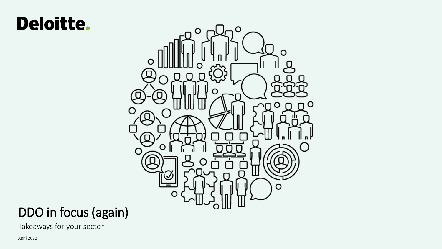# Deloitte.



## DDO in focus (again)

Takeaways for your sector

April 2022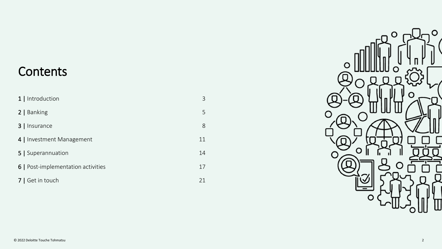## **Contents**

| 1   Introduction                   | 3  |
|------------------------------------|----|
| 2   Banking                        | 5  |
| 3   Insurance                      | 8  |
| 4   Investment Management          | 11 |
| 5   Superannuation                 | 14 |
| 6   Post-implementation activities | 17 |
| 7   Get in touch                   | 21 |

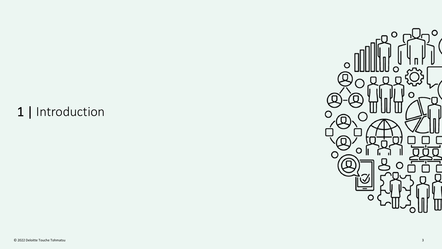# 1 | Introduction

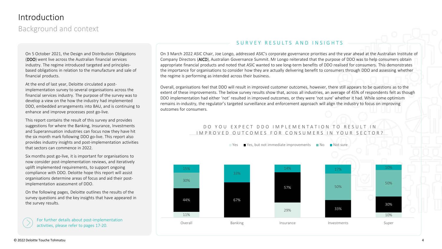## Introduction

Background and context

On 5 October 2021, the Design and Distribution Obligations (DDO) went live across the Australian financial services industry. The regime introduced targeted and principlesbased obligations in relation to the manufacture and sale of financial products.

At the end of last year, Deloitte circulated a postimplementation survey to several organisations across the financial services industry. The purpose of the survey was to develop a view on the how the industry had implemented DDO, embedded arrangements into BAU, and is continuing to enhance and improve processes post go-live.

This report contains the result of this survey and provides suggestions for where the Banking, Insurance, Investments and Superannuation industries can focus now they have hit the six month mark following DDO go-live. This report also provides industry insights and post-implementation activities that sectors can commence in 2022.

Six months post go-live, it is important for organisations to now consider post-implementation reviews, and iteratively uplift implemented requirements, to support ongoing compliance with DDO. Deloitte hope this report will assist organisations determine areas of focus and aid their postimplementation assessment of DDO.

On the following pages, Deloitte outlines the results of the survey questions and the key insights that have appeared in the survey results.

For further details about post-implementation activities, please refer to pages 17-20.

### SURVEY RESULTS AND INSIGHTS

On 3 March 2022 ASIC Chair, Joe Longo, addressed ASIC's corporate governance priorities and the year ahead at the Australian Institu[te of](#page-18-0)  Company Directors (AICD), Australian Governance Summit. Mr Longo reiterated that the purpose of DDO was to help consumers obtain appropriate financial products and noted that ASIC wanted to see long-term benefits of DDO realised for consumers. This demonstrates the importance for organisations to consider how they are actually delivering benefit to consumers through DDO and assessing whether the regime is performing as intended across their business.

Overall, organisations feel that DDO will result in improved customer outcomes, however, there still appears to be questions as to the extent of these improvements. The below survey results show that, across all industries, an average of 45% of respondents felt as though DDO implementation had either 'not' resulted in improved outcomes, or they were 'not sure' whether it had. While some optimism remains in-industry, the regulator's targeted surveillance and enforcement approach will align the industry to focus on improving outcomes for consumers.

### DO YOU EXPECT DDO IMPIEMENTATION TO RESULT IN I M P R O V E D O U T C O M E S F O R C O N S U M E R S I N Y O U R S E C T O R ?

 $\blacksquare$  Yes  $\blacksquare$  Yes, but not immediate improvements  $\blacksquare$  No  $\blacksquare$  Not sure

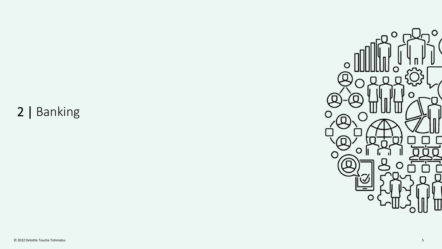# 2 | Banking

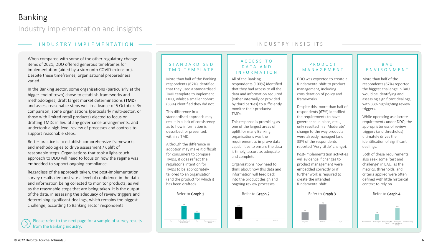Industry implementation and insights

### I N D U S T R Y I M P L E M E N T A T I O N

When compared with some of the other regulatory change items of 2021, DDO offered generous timeframes for implementation (aided by a six month COVID-extension). Despite these timeframes, organisational preparedness varied.

In the Banking sector, some organisations (particularly at the bigger end of town) chose to establish frameworks and methodologies, draft target market determinations (TMD) and assess reasonable steps well in-advance of 5 October. By comparison, some organisations (particularly multi-sector, or those with limited retail products) elected to focus on drafting TMDs in lieu of any governance arrangements, and undertook a high-level review of processes and controls to support reasonable steps.

Better practice is to establish comprehensive frameworks and methodologies to drive assessment / uplift of reasonable steps. Organisations that took a light-touch approach to DDO will need to focus on how the regime was embedded to support ongoing compliance.

Regardless of the approach taken, the post-implementation survey results demonstrate a level of confidence in the data and information being collected to monitor products, as well as the reasonable steps that are being taken. It is the output of the data, in assessing the adequacy of review triggers and determining significant dealings, which remains the biggest challenge, according to Banking sector respondents.

Please refer to the next page for a sample of survey results from the Banking industry.

### S T A N D A R D I S E D T M D T E M P L A T E

More than half of the Banking respondents (67%) identified that they used a standardised TMD template to implement DDO, whilst a smaller cohort (33%) identified they did not.

This difference in a standardised approach may result in a lack of consistency as to how information is described, or presented, within a TMD.

Although the difference in adoption may make it difficult for consumers to compare TMDs, it does reflect the regulator's intention for TMDs to be appropriately tailored to an organisation (and the product for which it has been drafted).



### I N D U S T R Y I N S I G H T S

### A C C E S S T O D A T A A N D I N F O R M A T I O N

#### All of the Banking

respondents (100%) identified that they had access to all the data and information required (either internally or provided by third parties) to sufficiently monitor their products/ TMDs.

This response is promising as one of the largest areas of uplift for many Banking organisations was the requirement to improve data capabilities to ensure the data is timely, accurate, adequate and complete.

Organisations now need to think about how this data and information will feed back into the product design and ongoing review processes.



### P R O D U C T M A N A G E M E N T

DDO was expected to create a fundamental shift to product management, including consideration of policy and frameworks.

Despite this, more than half of respondents (67%) identified the requirements to have governance in place, etc…, only resulted in a 'Moderate' change to the way products were already managed (and 33% of the respondents reported 'Very Little' change).

Post-implementation activities will evidence if changes to product management were embedded correctly or if further work is required to create the intended fundamental shift.

### B A U E N V I R O N M E N T

More than half of the respondents (67%) reported the biggest challenge in BAU would be identifying and assessing significant dealings, with 33% highlighting review triggers.

While operating as discrete requirements under DDO, the appropriateness of review triggers (and thresholds) ultimately drives the identification of significant dealings.

Both of these requirements also seek some 'test and challenge' in BAU, as the metrics, thresholds, and criteria applied were often defined with little historical context to rely on.



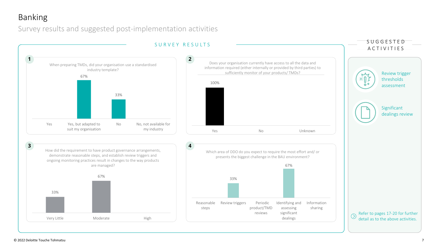## Banking

Survey results and suggested post-implementation activities

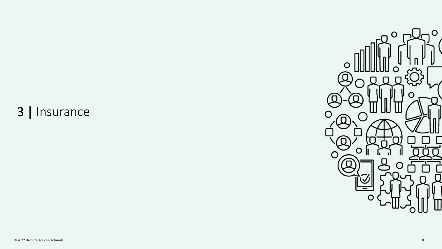# 3 | Insurance

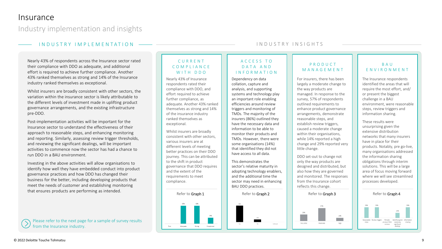Industry implementation and insights

### I N D U S T R Y I M P L E M E N T A T I O N

Nearly 43% of respondents across the Insurance sector rated their compliance with DDO as adequate, and additional effort is required to achieve further compliance. Another 43% ranked themselves as strong and 14% of the Insurance industry ranked themselves as exceptional.

Whilst insurers are broadly consistent with other sectors, the variation within the insurance sector is likely attributable to the different levels of investment made in uplifting product governance arrangements, and the existing infrastructure pre-DDO.

Post-implementation activities will be important for the Insurance sector to understand the effectiveness of their approach to reasonable steps, and enhancing monitoring and reporting. Similarly, assessing review trigger thresholds, and reviewing the significant dealings, will be important activities to commence now the sector has had a chance to run DDO in a BAU environment.

Investing in the above activities will allow organisations to identify how well they have embedded conduct into product governance practices and how DDO has changed their business for the better, including developing products that meet the needs of customer and establishing monitoring that ensures products are performing as intended.

Please refer to the next page for a sample of survey results from the Insurance industry.

### C U R R E N T C O M P L I A N C E WITH DDO

Nearly 43% of Insurance respondents rated their compliance with DDO, and effort required to achieve further compliance, as adequate. Another 43% ranked themselves as strong and 14% of the insurance industry ranked themselves as exceptional.

Whilst insurers are broadly consistent with other sectors, various insurers are at different levels of meeting better practices on their DDO journey. This can be attributed to the shift in product governance that DDO requires and the extent of the requirements to meet compliance.



### I N D U S T R Y I N S I G H T S

### A C C E S S T O D A T A A N D I N F O R M A T I O N

Dependency on data collation, capture and analysis, and supporting systems and technology play an important role enabling efficiencies around review triggers and monitoring of TMDs. The majority of the insurers (86%) outlined they have the necessary data and information to be able to monitor their products and TMDs. However, there were some organisations (14%) that identified they did not have access to all data.

This demonstrates the sector's relative maturity in adopting technology enablers, and the additional time the sector may need in enhancing BAU DDO practices.



### P R O D U C T M A N A G E M E N T

For insurers, there has been largely a moderate change to the way products are managed. In response to the survey, 57% of respondents outlined requirements to enhance product governance arrangements, demonstrate reasonable steps, and establish review triggers, caused a moderate change within their organisations. while 14% reported a high change and 29% reported very little change.

DDO set-out to change not only the way products are designed and distributed, but also how they are governed and monitored. The responses from the Insurance cohort reflects this change.



### B A U E N V I R O N M E N T

The Insurance respondents identified the areas that will require the most effort, and/ or present the biggest challenge in a BAU environment, were reasonable steps, review triggers and information sharing.

These results were unsurprising given the extensive distribution networks that many insurers have in place for their products. Notably, pre go-live, many organisations addressed the information sharing obligations through interim solutions. This will be a large area of focus moving forward where we will see streamlined processes developed.



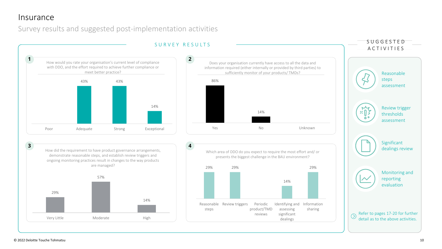## Insurance

Survey results and suggested post-implementation activities

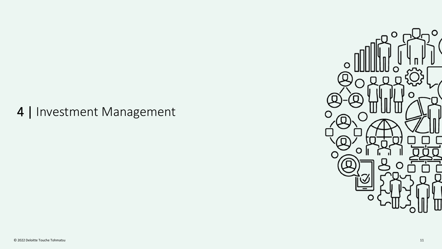## 4 | Investment Management

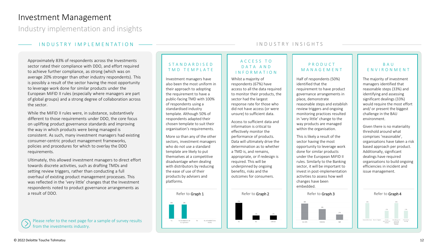### Investment Management

Industry implementation and insights

### I N D U S T R Y I M P L E M E N T A T I O N

Approximately 83% of respondents across the Investments sector rated their compliance with DDO, and effort required to achieve further compliance, as strong (which was on average 20% stronger than other industry respondents). This is possibly a result of the sector having the most opportunity to leverage work done for similar products under the European MiFID II rules (especially where managers are part of global groups) and a strong degree of collaboration across the sector.

While the MiFID II rules were, in substance, substantively different to those requirements under DDO, the core focus on uplifting product governance standards and improving the way in which products were being managed is consistent. As such, many investment managers had existing consumer-centric product management frameworks, policies and procedures for which to overlay the DDO requirements.

Ultimately, this allowed investment managers to direct effort towards discrete activities, such as drafting TMDs and setting review triggers, rather than conducting a full overhaul of existing product management processes. This was reflected in the 'very little' changes that the Investment respondents noted to product governance arrangements as a result of DDO.

Please refer to the next page for a sample of survey results from the investments industry.

### S T A N D A R D I S E D T M D T E M P L A T E

Investment managers have also been the most uniform in their approach to adopting the requirement to have a public-facing TMD with 100% of respondents using a standardised industry template. Although 50% of respondents adapted their chosen template to suit their organisation's requirements.

More so than any of the other sectors, investment managers who do not use a standard template are likely to put themselves at a competitive disadvantage when dealing with distributors by reducing the ease of use of their products by advisers and platforms.



### I N D U S T R Y I N S I G H T S

#### A C C E S S T O D A T A A N D I N F O R M A T I O N

Whilst a majority of respondents (67%) have access to all the data required to monitor their products, the sector had the largest response rate for those who did not have access (or were unsure) to sufficient data.

Access to sufficient data and information is critical to effectively monitor the performance of products. Data will ultimately drive the determination as to whether a TMD is, and remains, appropriate, or if redesign is required. This will be underpinned by ongoing benefits, risks and the outcomes for consumers.



### P R O D U C T M A N A G E M E N T

Half of respondents (50%) identified that the requirement to have product governance arrangements in place, demonstrate reasonable steps and establish review triggers and ongoing monitoring practices resulted in 'very little' change to the way products are managed within the organisation.

This is likely a result of the sector having the most opportunity to leverage work done for similar products under the European MiFID II rules. Similarly to the Banking sector, it will be important to invest in post-implementation activities to assess how well changes have been embedded.

### B A U E N V I R O N M E N T

The majority of investment managers identified that reasonable steps (33%) and identifying and assessing significant dealings (33%) would require the most effort and/ or present the biggest challenge in the BAU environment.

Given there is no materiality threshold around what comprises 'reasonable', organisations have taken a risk based approach per product. Additionally, significant dealings have required organisations to build ongoing efficiencies in incident and issue management.

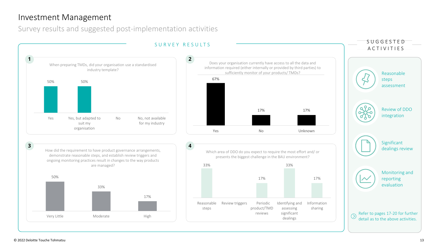## Investment Management

Survey results and suggested post-implementation activities

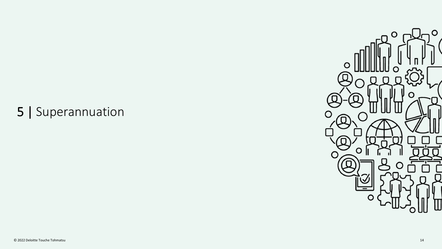# 5 | Superannuation

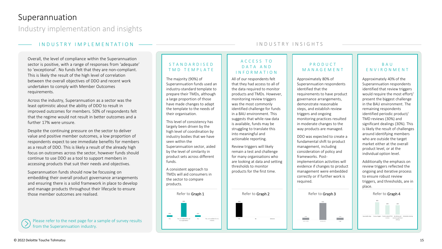## Superannuation

Industry implementation and insights

### I N D U S T R Y I M P L E M E N T A T I O N

Overall, the level of compliance within the Superannuation sector is positive, with a range of responses from 'adequate' to 'exceptional'. No funds felt that they are non-compliant. This is likely the result of the high level of correlation between the overall objectives of DDO and recent work undertaken to comply with Member Outcomes requirements.

Across the industry, Superannuation as a sector was the least optimistic about the ability of DDO to result in improved outcomes for members. 50% of respondents felt that the regime would not result in better outcomes and a further 17% were unsure.

Despite the continuing pressure on the sector to deliver value and positive member outcomes, a low proportion of respondents expect to see immediate benefits for members as a result of DDO. This is likely a result of the already high focus on outcomes across the sector, however funds should continue to use DDO as a tool to support members in accessing products that suit their needs and objectives.

Superannuation funds should now be focussing on embedding their overall product governance arrangements and ensuring there is a solid framework in place to develop and manage products throughout their lifecycle to ensure those member outcomes are realised.

Please refer to the next page for a sample of survey results from the Superannuation industry.

### S T A N D A R D I S E D T M D T E M P L A T E

The majority (90%) of Superannuation funds used an industry-standard template to prepare their TMDs, although a large proportion of those have made changes to adapt the template to the needs of their organisation.

This level of consistency has largely been driven by the high level of coordination by industry bodies that we have seen within the Superannuation sector, aided by the level of similarity in product sets across different funds.

A consistent approach to TMDs will aid consumers in the sector to compare products.



### I N D U S T R Y I N S I G H T S

#### A C C E S S T O D A T A A N D I N F O R M A T I O N

All of our respondents felt that they had access to all of the data required to monitor products and TMDs. However, monitoring review triggers was the most commonly identified challenge for funds in a BAU environment. This suggests that while raw data is available, funds may be struggling to translate this into meaningful and actionable reporting.

Review triggers will likely remain a test and challenge for many organisations who are looking at data and setting thresholds to monitor products for the first time.



### P R O D U C T M A N A G E M E N T

Approximately 80% of Superannuation respondents identified that the requirements to have product governance arrangements, demonstrate reasonable steps, and establish review triggers and ongoing monitoring practices resulted in moderate changes to the way products are managed.

DDO was expected to create a fundamental shift to product management, including consideration of policy and frameworks. Postimplementation activities will evidence if changes to product management were embedded correctly or if further work is required.



### B A U E N V I R O N M E N T

Approximately 40% of the Superannuation respondents identified that review triggers would require the most effort/ present the biggest challenge in the BAU environment. The remaining respondents identified periodic product/ TMD reviews (30%) and significant dealings (30%). This is likely the result of challenges around identifying members who are outside the target market either at the overall product level, or at the individual option level.

Additionally the emphasis on review triggers reflected the ongoing and iterative process to ensure robust review triggers, and thresholds, are in place.

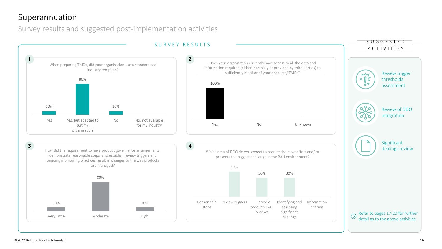## Superannuation

Survey results and suggested post-implementation activities

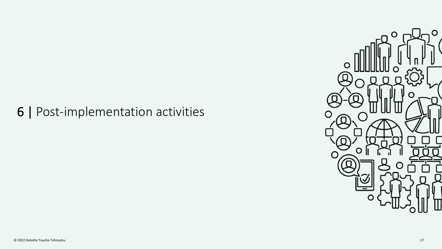## 6 | Post-implementation activities

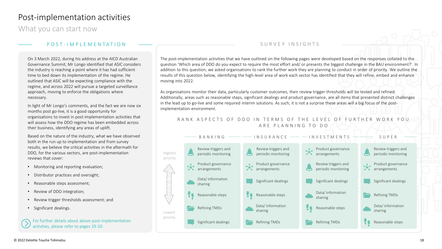## Post-implementation activities

What you can start now

### P O S T - I M P L E M E N T A T I O N

On 3 March 2022, during his address at the AICD Australian Governance Summit, Mr Longo identified that ASIC considers the industry is reaching a point where it has had sufficient time to bed down its implementation of the regime. He outlined that ASIC will be expecting compliance with the regime, and across 2022 will pursue a targeted surveillance approach, moving to enforce the obligations where necessary.

In light of Mr Longo's comments, and the fact we are now six months post go-live, it is a good opportunity for organisations to invest in post-implementation activities that will assess how the DDO regime has been embedded across their business, identifying any areas of uplift.

Based on the nature of the industry, what we have observed both in the run up to implementation and from survey results, we believe the critical activities in the aftermath for DDO, for the various sectors, are post-implementation reviews that cover:

- Monitoring and reporting evaluation;
- Distributor practices and oversight;
- Reasonable steps assessment;
- Review of DDO integration;
- Review trigger thresholds assessment; and
- Significant dealings.

For further details about above post-implementation activities, please refer to pages 19-20.

### SURVEY INSIGHTS

The post-implementation activities that we have outlined on the following pages were developed based on the responses collated to the question 'Which area of DDO do you expect to require the most effort and/ or presents the biggest challenge in the BAU environment?'. In addition to this question, we asked organisations to rank the further work they are planning to conduct in order of priority. We outline the results of this question below, identifying the high-level area of work each sector has identified that they will refine, embed and enhance moving into 2022.

As organisations monitor their data, particularly customer outcomes, their review trigger thresholds will be tested and refined. Additionally, areas such as reasonable steps, significant dealings and product governance, are all items that presented distinct challenges in the lead up to go-live and some required interim solutions. As such, it is not a surprise these areas will a big focus of the postimplementation environment.

### RANK ASPECTS OF DDO IN TERMS OF THE LEVEL OF FURTHER WORK YOU A R E P LA N N I N G T O D O

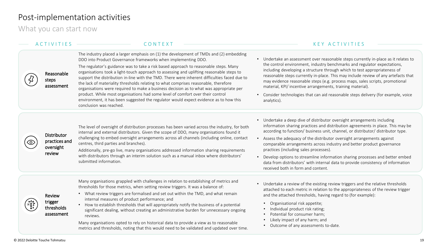### <span id="page-18-0"></span>Post-implementation activities

What you can start now

The industry placed a larger emphasis on (1) the development of TMDs and (2) embedding DDO into Product Governance frameworks when implementing DDO.



The regulator's guidance was to take a risk based approach to reasonable steps. Many organisations took a light-touch approach to assessing and uplifting reasonable steps to support the distribution in-line with the TMD. There were inherent difficulties faced due to the lack of materiality thresholds relating to what comprises reasonable, therefore organisations were required to make a business decision as to what was appropriate per product. While most organisations had some level of comfort over their control environment, it has been suggested the regulator would expect evidence as to how this conclusion was reached.

### A C T I V I T I E S C O N T E X T K E Y A C T I V I T I E S

- Undertake an assessment over reasonable steps currently in-place as it relates to the control environment, industry benchmarks and regulator expectations, including developing a structure through which to test appropriateness of reasonable steps currently in-place. This may include review of any artefacts that may evidence reasonable steps (e.g. process maps, sales scripts, promotional material, KPI/ incentive arrangements, training material).
- Consider technologies that can aid reasonable steps delivery (for example, voice analytics).

**Distributor** practices and oversight review

The level of oversight of distribution processes has been varied across the industry, for both internal and external distributors. Given the scope of DDO, many organisations found it challenging to embed oversight arrangements across all channels (including online, contact centres, third parties and branches).

Additionally, pre-go live, many organisations addressed information sharing requirements with distributors through an interim solution such as a manual inbox where distributors' submitted information.

- Undertake a deep dive of distributor oversight arrangements including information sharing practices and distribution agreements in place. This may be according to function/ business unit, channel, or distributor/ distributor type.
- Assess the adequacy of the distributor oversight arrangements against comparable arrangements across industry and better product governance practices (including sales processes).
- Develop options to streamline information sharing processes and better embed data from distributors' with internal data to provide consistency of information received both in form and content.

Many organisations grappled with challenges in relation to establishing of metrics and thresholds for those metrics, when setting review triggers. It was a balance of:

Review trigger thresholds assessment

- What review triggers are formalised and set out within the TMD, and what remain internal measures of product performance; and
- How to establish thresholds that will appropriately notify the business of a potential significant dealing, without creating an administrative burden for unnecessary ongoing reviews.

Many organisations opted to rely on historical data to provide a view as to reasonable metrics and thresholds, noting that this would need to be validated and updated over time.

- Undertake a review of the existing review triggers and the relative thresholds attached to each metric in relation to the appropriateness of the review trigger and the attached thresholds, having regard to (for example):
	- Organisational risk appetite;
	- Individual product risk rating;
	- Potential for consumer harm;
	- Likely impact of any harm; and
	- Outcome of any assessments to-date.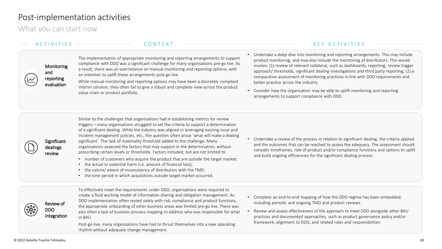## Post-implementation activities

What you can start now

### Monitoring and reporting evaluation

Significant dealings review

The implementation of appropriate monitoring and reporting arrangements to support compliance with DDO was a significant challenge for many organisations pre-go live. As a result, there was an overreliance on manual monitoring and reporting options, with an intention to uplift these arrangements post-go live.

While manual monitoring and reporting options may have been a discretely compliant interim solution, they often fail to give a robust and complete view across the product value chain or product portfolio.

### A C T I V I T I E S C O N T E X T K E Y A C T I V I T I E S

- Undertake a deep dive into monitoring and reporting arrangements. This may inclu[de](#page-18-0)  product monitoring, and may also include the monitoring of distributors. This would involve: (1) review of relevant collateral, such as dashboards, reporting, review trigger approach/ thresholds, significant dealing investigations and third party reporting, (2) a comparative assessment of monitoring practices in line with DDO requirements and better practice across the industry.
- Consider how the organisation may be able to uplift monitoring and reporting arrangements to support compliance with DDO.

Similar to the challenges that organisations had in establishing metrics for review triggers – many organisations struggled to set the criteria to support a determination of a significant dealing. While the industry was aligned in leveraging existing issue and incident management policies, etc., the question often arose 'what will make a dealing significant'. The lack of materiality threshold added to the challenge. Many organisations assessed the factors that may support in the determination, without prescribing certain levels or thresholds. Factors included, but are not limited to:

- number of customers who acquire the product that are outside the target market;
- the actual or potential harm (i.e. amount of financial loss);
- the nature/ extent of inconsistency of distribution with the TMD;
- the time period in which acquisitions outside target market occurred.

Review of

DDO integration To effectively meet the requirements under DDO, organisations were required to create a fluid working model of information sharing and obligation management. As DDO implementation often rested solely with risk, compliance and product functions, the appropriate onboarding of other business areas was limited pre-go live. There was also often a lack of business process mapping to address who was responsible for what in BAU.

Post-go live, many organisations have had to thrust themselves into a new operating rhythm without adequate change management.

• Undertake a review of the process in relation to significant dealing, the criteria applied and the outcomes that can be reached to assess the adequacy. The assessment should consider timeframes, role of product and/or compliance functions and options to uplift and build ongoing efficiencies for the significant dealing process.

- Complete an end-to-end mapping of how the DDO regime has been embedded, including periodic and ongoing TMD and product reviews.
- Review and assess effectiveness of the approach to meet DDO alongside other BAU practices and documented approaches, such as product governance policy and/or framework, alignment to DDO, and related roles and responsibilities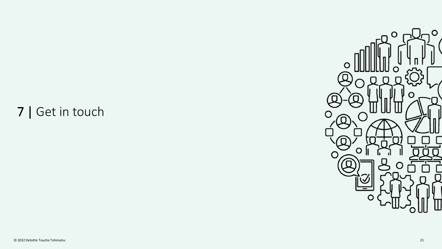# 7 | Get in touch

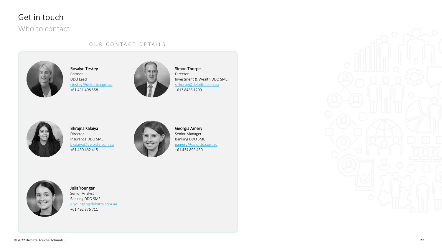## Get in touch

### Who to contact

### OUR CONTACT DETAILS



Rosalyn Teskey Partner DDO Lead [rteskey@deloitte.com.au](mailto:rteskey@deloitte.com.au) +61 431 408 558



Simon Thorpe Director Investment & Wealth DDO SME [sithorpe@deloitte.com.au](mailto:sithorpe@deloitte.com.au) +613 8486 1200









### Julia Younger Senior Analyst Banking DDO SME [juyounger@deloitte.com.au](mailto:juyounger@deloitte.com.au)

+61 492 876 711